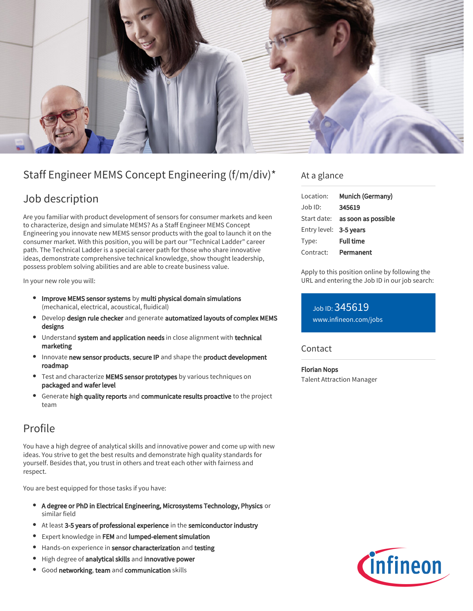

# Staff Engineer MEMS Concept Engineering (f/m/div)\*

## Job description

Are you familiar with product development of sensors for consumer markets and keen to characterize, design and simulate MEMS? As a Staff Engineer MEMS Concept Engineering you innovate new MEMS sensor products with the goal to launch it on the consumer market. With this position, you will be part our "Technical Ladder" career path. The Technical Ladder is a special career path for those who share innovative ideas, demonstrate comprehensive technical knowledge, show thought leadership, possess problem solving abilities and are able to create business value.

In your new role you will:

- Improve MEMS sensor systems by multi physical domain simulations (mechanical, electrical, acoustical, fluidical)
- Develop design rule checker and generate automatized layouts of complex MEMS designs
- Understand system and application needs in close alignment with technical marketing
- Innovate new sensor products, secure IP and shape the product development roadmap
- Test and characterize MEMS sensor prototypes by various techniques on packaged and wafer level
- Generate high quality reports and communicate results proactive to the project team

### Profile

You have a high degree of analytical skills and innovative power and come up with new ideas. You strive to get the best results and demonstrate high quality standards for yourself. Besides that, you trust in others and treat each other with fairness and respect.

You are best equipped for those tasks if you have:

- A degree or PhD in Electrical Engineering, Microsystems Technology, Physics or  $\bullet$ similar field
- At least 3-5 years of professional experience in the semiconductor industry
- Expert knowledge in FEM and lumped-element simulation  $\bullet$
- Hands-on experience in sensor characterization and testing
- $\bullet$ High degree of analytical skills and innovative power
- Good networking, team and communication skills

### At a glance

| Munich (Germany)                       |
|----------------------------------------|
| 345619                                 |
| Start date: <b>as soon as possible</b> |
| Entry level: 3-5 years                 |
| <b>Full time</b>                       |
| Permanent                              |
|                                        |

Apply to this position online by following the URL and entering the Job ID in our job search:

Job ID: 345619 [www.infineon.com/jobs](https://www.infineon.com/jobs)

#### **Contact**

Florian Nops Talent Attraction Manager